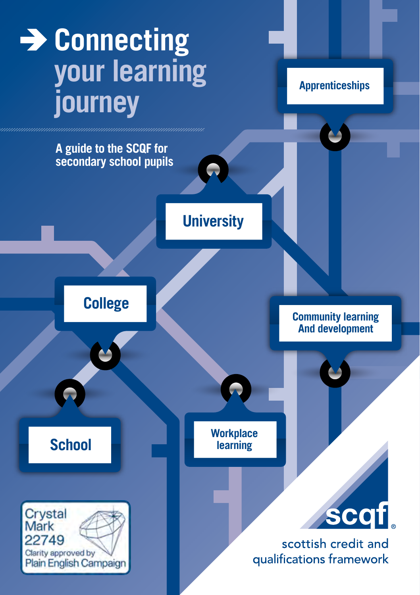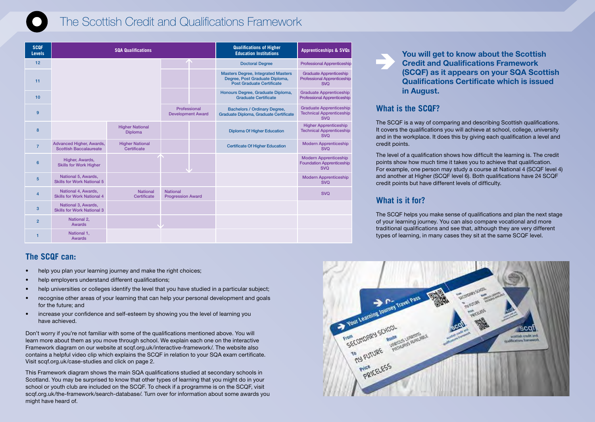

# The Scottish Credit and Qualifications Framework

| <b>SCQF</b><br><b>Levels</b> | <b>SQA Qualifications</b>                                 |                                          |                                             | <b>Qualifications of Higher</b><br><b>Education Institutions</b> | <b>Apprenticeships &amp; SVQs</b>                                                                        |                                                                                    |
|------------------------------|-----------------------------------------------------------|------------------------------------------|---------------------------------------------|------------------------------------------------------------------|----------------------------------------------------------------------------------------------------------|------------------------------------------------------------------------------------|
| 12                           |                                                           |                                          |                                             |                                                                  | <b>Doctoral Degree</b>                                                                                   | <b>Professional Apprenticeship</b>                                                 |
| 11                           |                                                           |                                          |                                             |                                                                  | <b>Masters Degree, Integrated Masters</b><br>Degree, Post Graduate Diploma,<br>Post Graduate Certificate | <b>Graduate Apprenticeship</b><br><b>Professional Apprenticeship</b><br><b>SVO</b> |
| 10                           |                                                           |                                          |                                             |                                                                  | Honours Degree, Graduate Diploma,<br><b>Graduate Certificate</b>                                         | <b>Graduate Apprenticeship</b><br><b>Professional Apprenticeship</b>               |
| 9                            |                                                           |                                          | Professional<br><b>Development Award</b>    |                                                                  | <b>Bachelors / Ordinary Degree,</b><br>Graduate Diploma, Graduate Certificate                            | <b>Graduate Apprenticeship</b><br><b>Technical Apprenticeship</b><br><b>SVO</b>    |
| 8                            |                                                           | <b>Higher National</b><br><b>Diploma</b> |                                             |                                                                  | <b>Diploma Of Higher Education</b>                                                                       | <b>Higher Apprenticeship</b><br><b>Technical Apprenticeship</b><br><b>SVO</b>      |
| $\overline{7}$               | Advanced Higher, Awards,<br><b>Scottish Baccalaureate</b> | <b>Higher National</b><br>Certificate    |                                             |                                                                  | <b>Certificate Of Higher Education</b>                                                                   | <b>Modern Apprenticeship</b><br><b>SVO</b>                                         |
| 6                            | Higher, Awards,<br><b>Skills for Work Higher</b>          |                                          |                                             |                                                                  |                                                                                                          | <b>Modern Apprenticeship</b><br><b>Foundation Apprenticeship</b><br><b>SVO</b>     |
| 5                            | National 5, Awards,<br><b>Skills for Work National 5</b>  |                                          |                                             |                                                                  |                                                                                                          | <b>Modern Apprenticeship</b><br><b>SVO</b>                                         |
| 4                            | National 4, Awards,<br><b>Skills for Work National 4</b>  | <b>National</b><br>Certificate           | <b>National</b><br><b>Progression Award</b> |                                                                  |                                                                                                          | <b>SVO</b>                                                                         |
| 3                            | National 3, Awards,<br><b>Skills for Work National 3</b>  |                                          |                                             |                                                                  |                                                                                                          |                                                                                    |
| $\overline{2}$               | National 2,<br><b>Awards</b>                              |                                          |                                             |                                                                  |                                                                                                          |                                                                                    |
|                              | National 1,<br><b>Awards</b>                              |                                          |                                             |                                                                  |                                                                                                          |                                                                                    |

# **The SCQF can:**

- help you plan your learning journey and make the right choices;
- help employers understand different qualifications;
- help universities or colleges identify the level that you have studied in a particular subject;
- recognise other areas of your learning that can help your personal development and goals for the future; and
- increase your confidence and self-esteem by showing you the level of learning you have achieved.

Don't worry if you're not familiar with some of the qualifications mentioned above. You will learn more about them as you move through school. We explain each one on the interactive Framework diagram on our website at scqf.org.uk/interactive-framework/. The website also contains a helpful video clip which explains the SCQF in relation to your SQA exam certificate. Visit scqf.org.uk/case-studies and click on page 2.

This Framework diagram shows the main SQA qualifications studied at secondary schools in Scotland. You may be surprised to know that other types of learning that you might do in your school or youth club are included on the SCQF. To check if a programme is on the SCQF, visit scqf.org.uk/the-framework/search-database/. Turn over for information about some awards you might have heard of.

## You will get to know about the Scottish Credit and Qualifications Framework (SCQF) as it appears on your SQA Scottish Qualifications Certificate which is issued in August.

## **What is the SCQF?**

The SCQF is a way of comparing and describing Scottish qualifications. It covers the qualifications you will achieve at school, college, university and in the workplace. It does this by giving each qualification a level and credit points.

The level of a qualification shows how difficult the learning is. The credit points show how much time it takes you to achieve that qualification. For example, one person may study a course at National 4 (SCQF level 4) and another at Higher (SCQF level 6). Both qualifications have 24 SCQF credit points but have different levels of difficulty.

# **What is it for?**

The SCQF helps you make sense of qualifications and plan the next stage of your learning journey. You can also compare vocational and more traditional qualifications and see that, although they are very different types of learning, in many cases they sit at the same SCQF level.